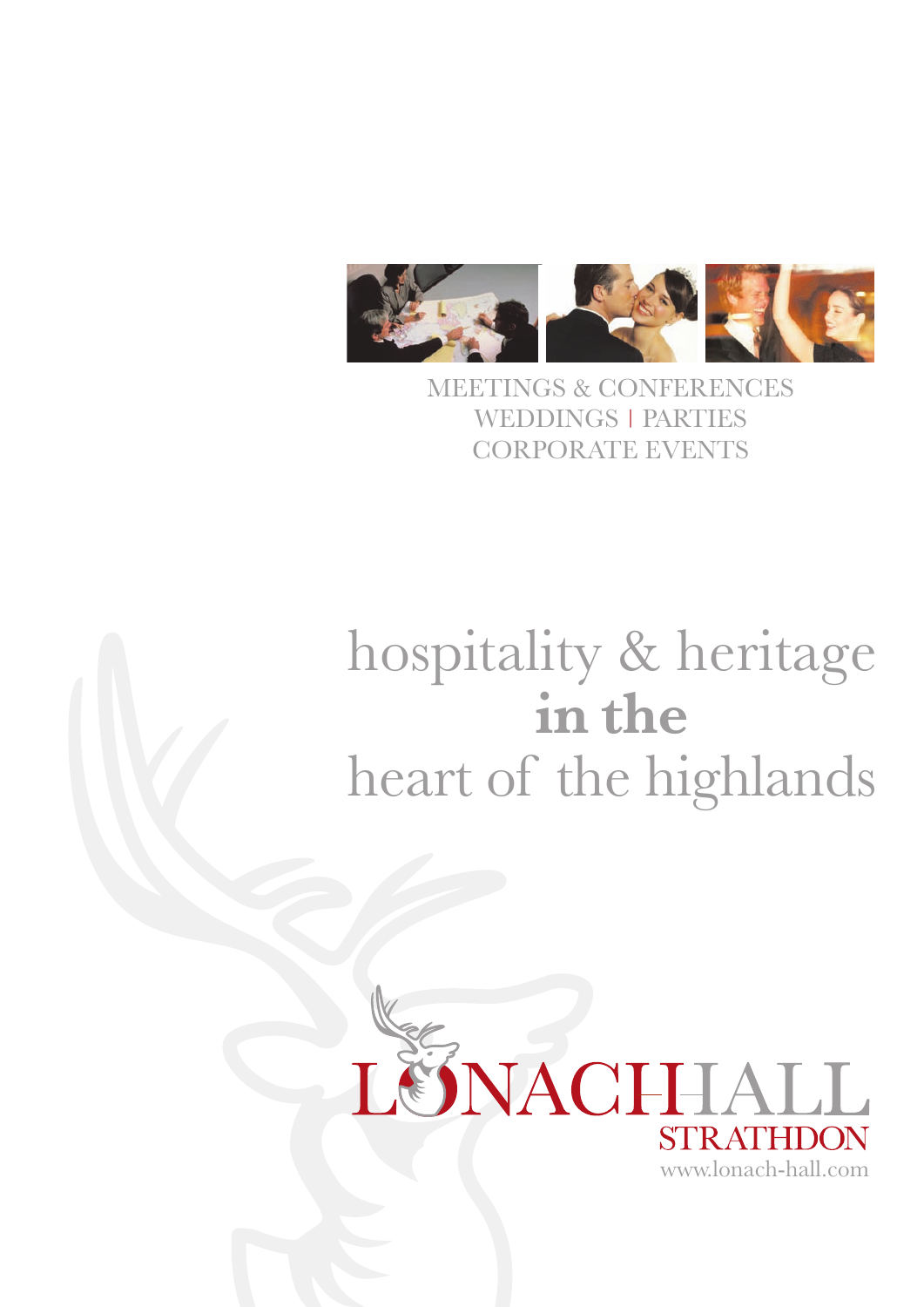

MEETINGS & CONFERENCES WEDDINGS | PARTIES CORPORATE EVENTS

# hospitality & heritage **in the** heart of the highlands

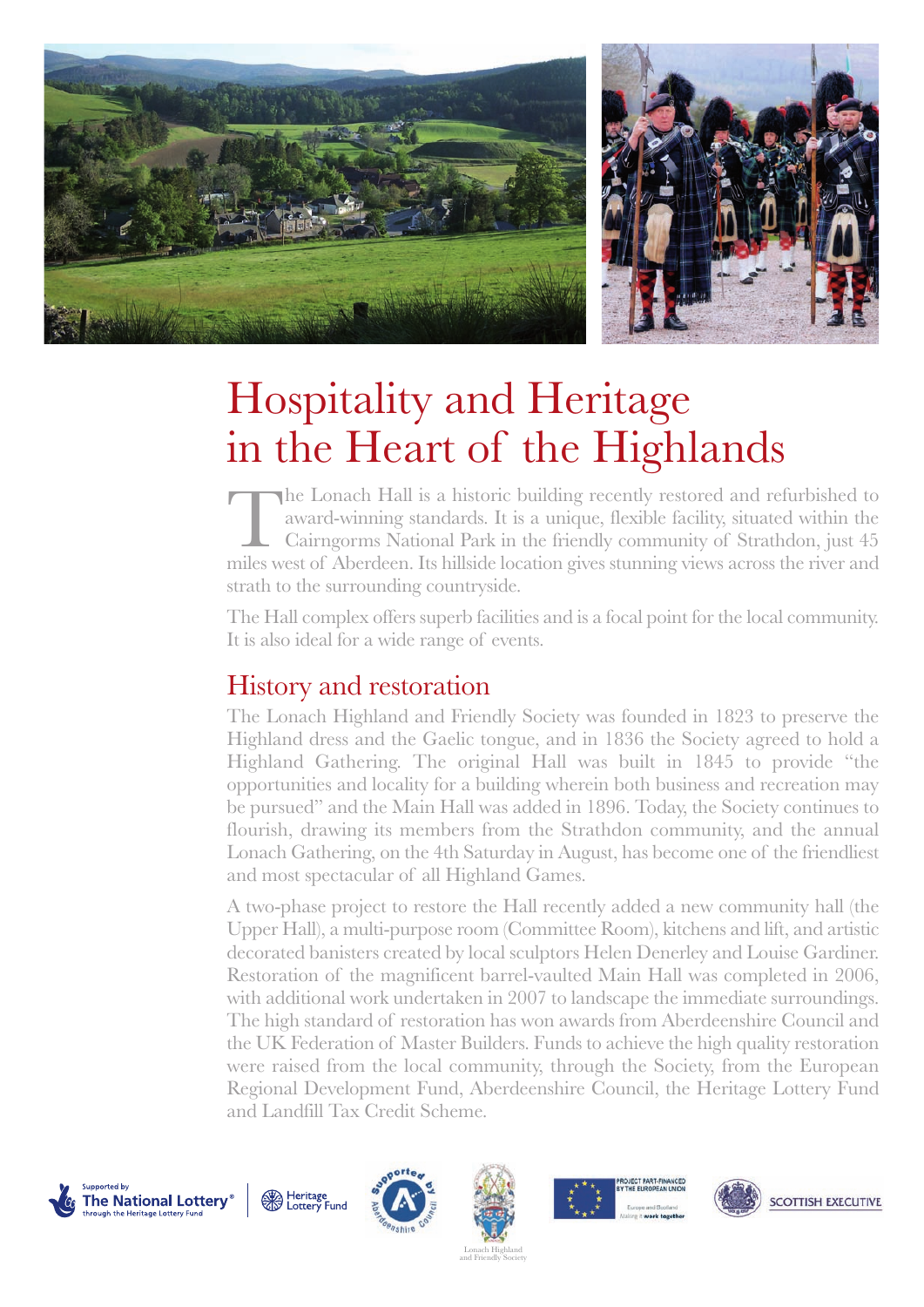

## Hospitality and Heritage in the Heart of the Highlands

The Lonach Hall is a historic building recently restored and refurbished to award-winning standards. It is a unique, flexible facility, situated within the Cairngorms National Park in the friendly community of Strathdon, just 45 miles west of Aberdeen. Its hillside location gives stunning views across the river and strath to the surrounding countryside.

The Hall complex offers superb facilities and is a focal point for the local community. It is also ideal for a wide range of events.

### History and restoration

The Lonach Highland and Friendly Society was founded in 1823 to preserve the Highland dress and the Gaelic tongue, and in 1836 the Society agreed to hold a Highland Gathering. The original Hall was built in 1845 to provide "the opportunities and locality for a building wherein both business and recreation may be pursued" and the Main Hall was added in 1896. Today, the Society continues to flourish, drawing its members from the Strathdon community, and the annual Lonach Gathering, on the 4th Saturday in August, has become one of the friendliest and most spectacular of all Highland Games.

A two-phase project to restore the Hall recently added a new community hall (the Upper Hall), a multi-purpose room (Committee Room), kitchens and lift, and artistic decorated banisters created by local sculptors Helen Denerley and Louise Gardiner. Restoration of the magnificent barrel-vaulted Main Hall was completed in 2006, with additional work undertaken in 2007 to landscape the immediate surroundings. The high standard of restoration has won awards from Aberdeenshire Council and the UK Federation of Master Builders. Funds to achieve the high quality restoration were raised from the local community, through the Society, from the European Regional Development Fund, Aberdeenshire Council, the Heritage Lottery Fund and Landfill Tax Credit Scheme.











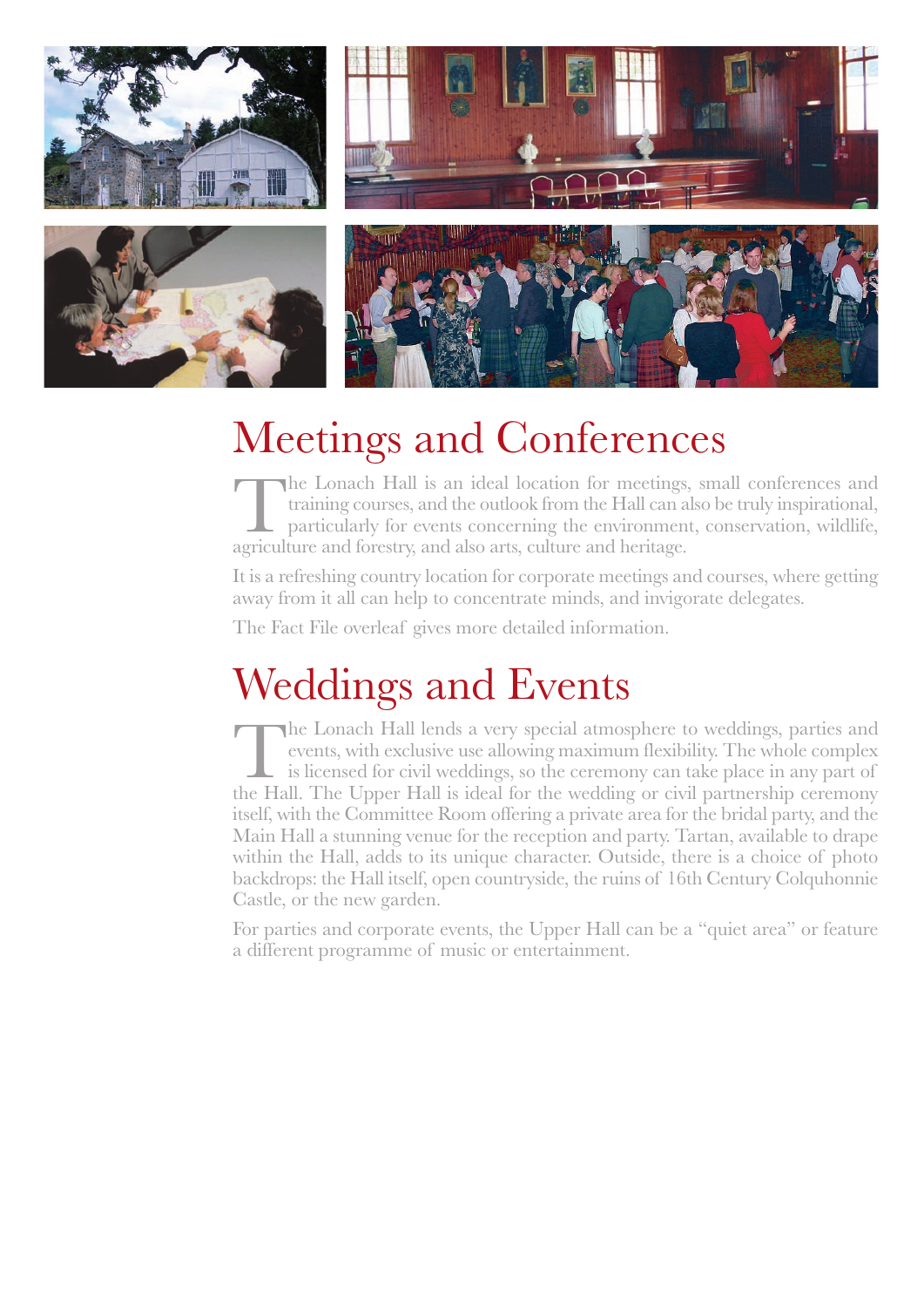

# Meetings and Conferences

The Lonach Hall is an ideal location for meetings, small conferences and training courses, and the outlook from the Hall can also be truly inspirational, particularly for events concerning the environment, conservation, wi training courses, and the outlook from the Hall can also be truly inspirational, particularly for events concerning the environment, conservation, wildlife, agriculture and forestry, and also arts, culture and heritage.

It is a refreshing country location for corporate meetings and courses, where getting away from it all can help to concentrate minds, and invigorate delegates.

The Fact File overleaf gives more detailed information.

# Weddings and Events

The Lonach Hall lends a very special atmosphere to weddings, parties and events, with exclusive use allowing maximum flexibility. The whole complex is licensed for civil weddings, so the ceremony can take place in any part of the Hall. The Upper Hall is ideal for the wedding or civil partnership ceremony itself, with the Committee Room offering a private area for the bridal party, and the Main Hall a stunning venue for the reception and party. Tartan, available to drape within the Hall, adds to its unique character. Outside, there is a choice of photo backdrops: the Hall itself, open countryside, the ruins of 16th Century Colquhonnie Castle, or the new garden.

For parties and corporate events, the Upper Hall can be a "quiet area" or feature a different programme of music or entertainment.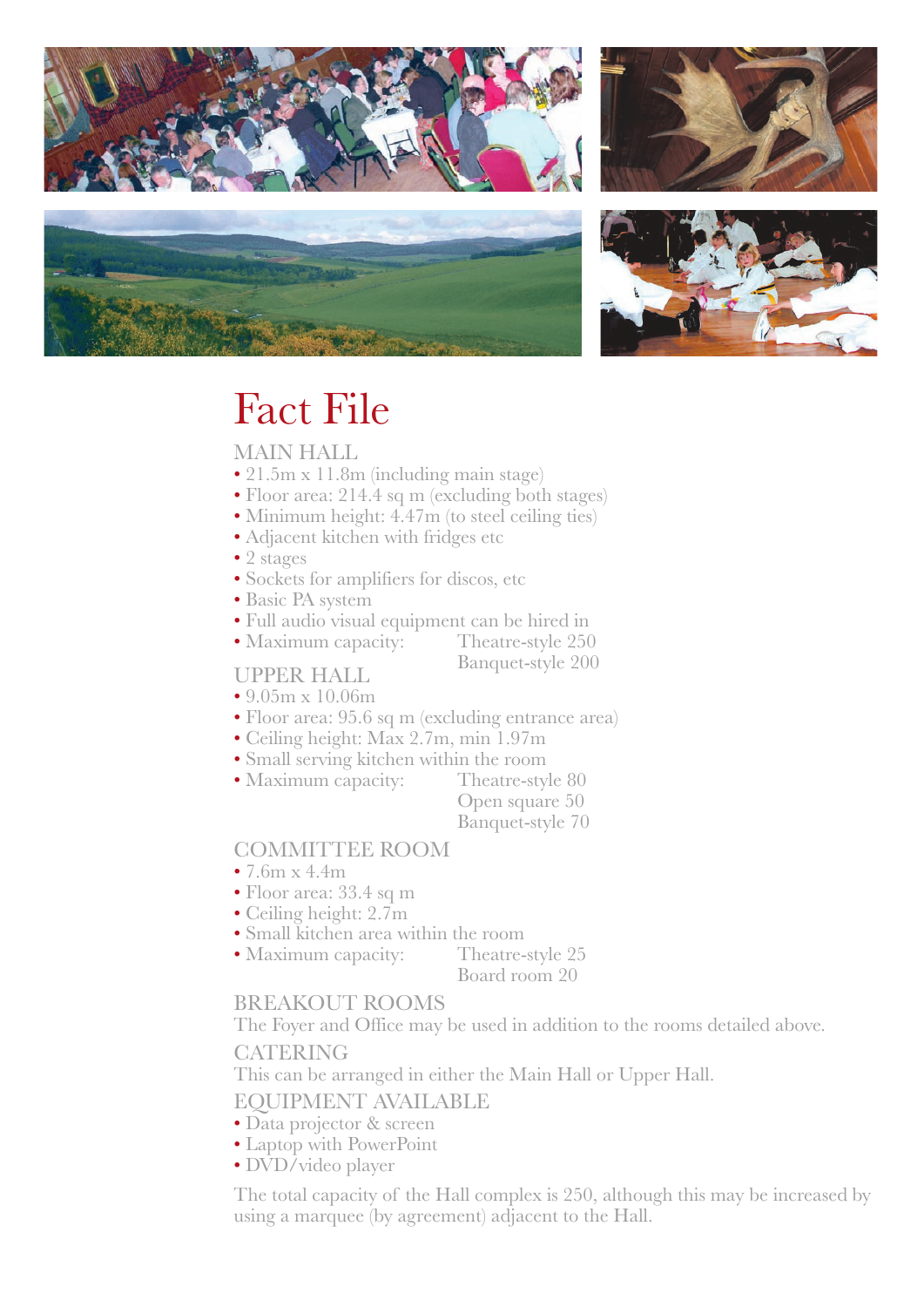







### Fact File

#### MAIN HALL

- 21.5m x 11.8m (including main stage)
- Floor area: 214.4 sq m (excluding both stages)
- Minimum height: 4.47m (to steel ceiling ties)
- Adjacent kitchen with fridges etc
- 2 stages
- Sockets for amplifiers for discos, etc
- Basic PA system
- Full audio visual equipment can be hired in
- Maximum capacity:

Banquet-style 200

- 9.05m x 10.06m
- Floor area: 95.6 sq m (excluding entrance area)
- Ceiling height: Max 2.7m, min 1.97m
- Small serving kitchen within the room
- Maximum capacity: Theatre-style 80

Open square 50 Banquet-style 70

### COMMITTEE ROOM

- 7.6m x 4.4m
- Floor area: 33.4 sq m
- Ceiling height: 2.7m
- Small kitchen area within the room
- Maximum capacity: Theatre-style 25

Board room 20

#### BREAKOUT ROOMS

The Foyer and Office may be used in addition to the rooms detailed above. **CATERING** 

This can be arranged in either the Main Hall or Upper Hall.

EQUIPMENT AVAILABLE

- Data projector & screen
- Laptop with PowerPoint
- DVD/video player

The total capacity of the Hall complex is 250, although this may be increased by using a marquee (by agreement) adjacent to the Hall.